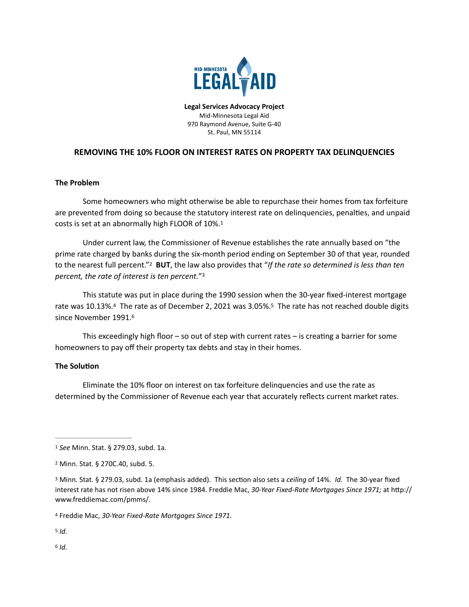

<span id="page-0-6"></span>**Legal Services Advocacy Project** Mid-Minnesota Legal Aid 970 Raymond Avenue, Suite G-40 St. Paul, MN 55114

## **REMOVING THE 10% FLOOR ON INTEREST RATES ON PROPERTY TAX DELINQUENCIES**

## **The Problem**

Some homeowners who might otherwise be able to repurchase their homes from tax forfeiture are prevented from doing so because the statutory interest rate on delinquencies, penalties, and unpaid costs is set at an abnormally high FLOOR of 10%.[1](#page-0-0)

<span id="page-0-7"></span>Under current law, the Commissioner of Revenue establishes the rate annually based on "the prime rate charged by banks during the six-month period ending on September 30 of that year, rounded tothe nearest full percent."<sup>2</sup> BUT, the law also provides that "If the rate so determined is less than ten *percent, the rate of interest is ten percent."*<sup>[3](#page-0-2)</sup>

<span id="page-0-10"></span><span id="page-0-9"></span><span id="page-0-8"></span>This statute was put in place during the 1990 session when the 30-year fixed-interest mortgage ratewas 10.13%.<sup>[4](#page-0-3)</sup> The rate as of December 2, 2021 was 3.05%.<sup>5</sup> The rate has not reached double digits since November 1991.[6](#page-0-5)

<span id="page-0-11"></span>This exceedingly high floor – so out of step with current rates – is creating a barrier for some homeowners to pay off their property tax debts and stay in their homes.

## **The Solution**

Eliminate the 10% floor on interest on tax forfeiture delinquencies and use the rate as determined by the Commissioner of Revenue each year that accurately reflects current market rates.

<span id="page-0-4"></span> $5$   $Id.$ 

<span id="page-0-5"></span> $6/d.$  $6/d.$ 

<span id="page-0-0"></span><sup>&</sup>lt;sup>[1](#page-0-6)</sup> See Minn. Stat. § 279.03, subd. 1a.

<span id="page-0-1"></span>Minn. Stat. § 270C.40, subd. 5. [2](#page-0-7)

<span id="page-0-2"></span>Minn. Stat. § 279.03, subd. 1a (emphasis added). This section also sets a *ceiling* of 14%. *Id.* The 30-year fixed [3](#page-0-8) interest rate has not risen above 14% since 1984. Freddie Mac, *30-Year Fixed-Rate Mortgages Since 1971;* at http:// www.freddiemac.com/pmms/.

<span id="page-0-3"></span>Freddie Mac, *30-Year Fixed-Rate Mortgages Since 1971.* [4](#page-0-9)